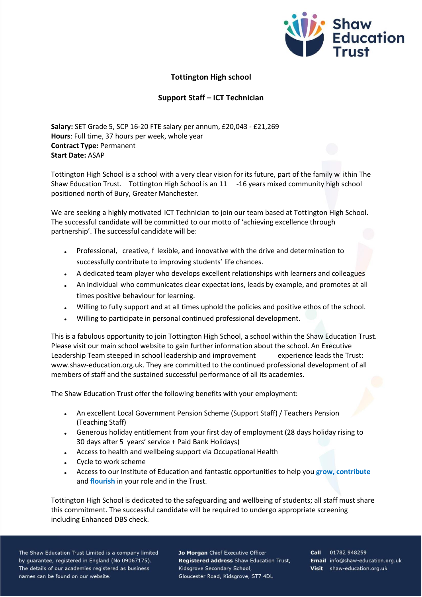

## **Tottington High school**

## **Support Staff – ICT Technician**

**Salary:** SET Grade 5, SCP 16-20 FTE salary per annum, £20,043 - £21,269 **Hours**: Full time, 37 hours per week, whole year **Contract Type:** Permanent **Start Date:** ASAP

Tottington High School is a school with a very clear vision for its future, part of the family w ithin The Shaw Education Trust. Tottington High School is an 11 -16 years mixed community high school positioned north of Bury, Greater Manchester.

We are seeking a highly motivated ICT Technician to join our team based at Tottington High School. The successful candidate will be committed to our motto of 'achieving excellence through partnership'. The successful candidate will be:

- Professional, creative, f lexible, and innovative with the drive and determination to successfully contribute to improving students' life chances.
- A dedicated team player who develops excellent relationships with learners and colleagues
- An individual who communicates clear expectations, leads by example, and promotes at all times positive behaviour for learning.
- Willing to fully support and at all times uphold the policies and positive ethos of the school.
- Willing to participate in personal continued professional development.

This is a fabulous opportunity to join Tottington High School, a school within the Shaw Education Trust. Please visit our main school website to gain further information about the school. An Executive Leadership Team steeped in school leadership and improvement experience leads the Trust: www.shaw-education.org.uk. They are committed to the continued professional development of all members of staff and the sustained successful performance of all its academies.

The Shaw Education Trust offer the following benefits with your employment:

- An excellent Local Government Pension Scheme (Support Staff) / Teachers Pension (Teaching Staff)
- Generous holiday entitlement from your first day of employment (28 days holiday rising to 30 days after 5 years' service + Paid Bank Holidays)
- Access to health and wellbeing support via Occupational Health
- Cycle to work scheme
- Access to our Institute of Education and fantastic opportunities to help you **grow, contribute** and **flourish** in your role and in the Trust.

Tottington High School is dedicated to the safeguarding and wellbeing of students; all staff must share this commitment. The successful candidate will be required to undergo appropriate screening including Enhanced DBS check.

The Shaw Education Trust Limited is a company limited by guarantee, registered in England (No 09067175). The details of our academies registered as business names can be found on our website.

Jo Morgan Chief Executive Officer Registered address Shaw Education Trust, Kidsgrove Secondary School, Gloucester Road, Kidsgrove, ST7 4DL

Call 01782 948259 Email info@shaw-education.org.uk Visit shaw-education.org.uk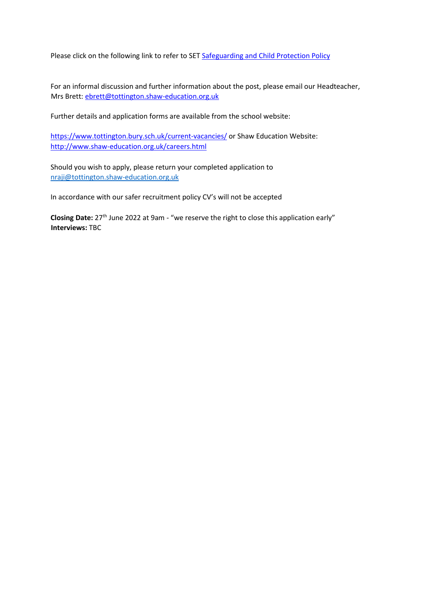Please click on the following link to refer to SE[T Safeguarding and Child Protection Policy](https://www.shaw-education.org.uk/uploads/New%20SET%20documents/Central%20Policies/Safeguarding%20and%20Pupil%20Protection%20Policy%202021-22.pdf)

For an informal discussion and further information about the post, please email our Headteacher, Mrs Brett: ebrett@tottington.shaw-education.org.uk

Further details and application forms are available from the school website:

<https://www.tottington.bury.sch.uk/current-vacancies/> [o](https://www.tottington.bury.sch.uk/current-vacancies/)r Shaw Education Website: <http://www.shaw-education.org.uk/careers.html>

Should you wish to apply, please return your completed application to [nraji@tottington.shaw-education.org.uk](mailto:nraji@tottington.shaw-education.org.uk)

In accordance with our safer recruitment policy CV's will not be accepted

Closing Date: 27<sup>th</sup> June 2022 at 9am - "we reserve the right to close this application early" **Interviews:** TBC